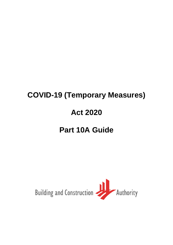# **COVID-19 (Temporary Measures) Act 2020 Part 10A Guide**

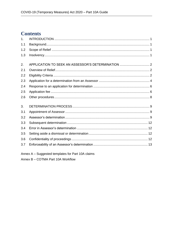# **Contents**

| 1 <sub>1</sub> |                                                    |  |
|----------------|----------------------------------------------------|--|
| 1.1            |                                                    |  |
| 1.2            |                                                    |  |
| 1.3            |                                                    |  |
| 2.             | APPLICATION TO SEEK AN ASSESSOR'S DETERMINATION  2 |  |
| 2.1            |                                                    |  |
| 2.2            |                                                    |  |
| 2.3            |                                                    |  |
| 2.4            |                                                    |  |
| 2.5            |                                                    |  |
| 2.6            |                                                    |  |
| 3.             |                                                    |  |
| 3.1            |                                                    |  |
| 3.2            |                                                    |  |
| 3.3            |                                                    |  |
| 3.4            |                                                    |  |
| 3.5            |                                                    |  |
| 3.6            |                                                    |  |
| 3.7            |                                                    |  |

Annex A - Suggested templates for Part 10A claims

Annex B - COTMA Part 10A Workflow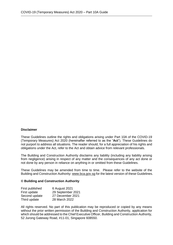#### **Disclaimer**

These Guidelines outline the rights and obligations arising under Part 10A of the COVID-19 (Temporary Measures) Act 2020 (hereinafter referred to as the "**Act**"). These Guidelines do not purport to address all situations. The reader should, for a full appreciation of his rights and obligations under the Act, refer to the Act and obtain advice from relevant professionals.

The Building and Construction Authority disclaims any liability (including any liability arising from negligence) arising in respect of any matter and the consequences of any act done or not done by any person in reliance on anything in or omitted from these Guidelines.

These Guidelines may be amended from time to time. Please refer to the website of the Building and Construction Authority[: www.bca.gov.sg](about:blank) for the latest version of these Guidelines.

#### **© Building and Construction Authority**

| 6 August 2021     |
|-------------------|
| 29 September 2021 |
| 27 December 2021  |
| 28 March 2022     |
|                   |

All rights reserved. No part of this publication may be reproduced or copied by any means without the prior written permission of the Building and Construction Authority, application for which should be addressed to the Chief Executive Officer, Building and Construction Authority, 52 Jurong Gateway Road, #11-01, Singapore 608550.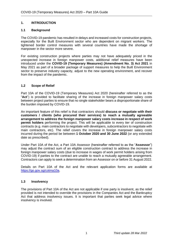# <span id="page-3-0"></span>**1. INTRODUCTION**

# <span id="page-3-1"></span>**1.1 Background**

The COVID-19 pandemic has resulted in delays and increased costs for construction projects, especially for the Built Environment sector who are dependent on migrant workers. The tightened border control measures with several countries have made the shortage of manpower in the sector more severe.

For existing construction projects where parties may not have adequately priced in the unexpected increase in foreign manpower costs, additional relief measures have been introduced under the **COVID-19 (Temporary Measures) (Amendment No. 3) Act 2021** in May 2021 as part of a broader package of support measures to help the Built Environment sector to preserve industry capacity, adjust to the new operating environment, and recover from the impact of the pandemic.

# <span id="page-3-2"></span>**1.2 Scope of Relief**

Part 10A of the COVID-19 (Temporary Measures) Act 2020 (hereinafter referred to as the "**Act**") is provided to facilitate sharing of the increase in foreign manpower salary costs between project parties to ensure that no single stakeholder bears a disproportionate share of the burden imposed by COVID-19.

An important feature of this relief is that contractors should **discuss or negotiate with their customers / clients (who procured their services) to reach a mutually agreeable arrangement to address the foreign manpower salary costs increase in respect of work permit holders** performing the project. This will be applicable to every tier of construction contracts (e.g. main contractors to negotiate with developers, subcontractors to negotiate with main contractors, etc). The relief covers the increase in foreign manpower salary costs incurred during the period be between **1 October 2020 and 30 June 2022** (or any extended date as prescribed).

Under Part 10A of the Act, a Part 10A Assessor (hereinafter referred to as the "**Assessor**") may adjust the contract sum of an eligible construction contract to address the increase in foreign manpower salary costs (due to increase in wages of work permit holders arising from COVID-19) if parties to the contract are unable to reach a mutually agreeable arrangement. Contractors can apply to seek a determination from an Assessor on or before 31 August 2022.

Details on Part 10A of the Act and the relevant application forms are available at [https://go.gov.sg/cotma10a.](https://go.gov.sg/cotma10a)

# <span id="page-3-3"></span>**1.3 Insolvency**

The provisions of Part 10A of the Act are not applicable if one party is insolvent, as the relief provided is not intended to override the provisions in the Companies Act and the Bankruptcy Act that address insolvency issues. It is important that parties seek legal advice where insolvency is involved.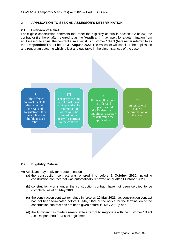#### <span id="page-4-0"></span>**2. APPLICATION TO SEEK AN ASSESSOR'S DETERMINATION**

#### <span id="page-4-1"></span>**2.1 Overview of Relief**

For eligible construction contracts that meet the eligibility criteria in section 2.2 below, the contractor (i.e. hereinafter referred to as the "**Applicant**") may apply for a determination from an Assessor to adjust the contract sum against its customer / client (hereinafter referred to as the "**Respondent**") on or before **31 August 2022**. The Assessor will consider the application and render an outcome which is just and equitable in the circumstances of the case.



If the affected contract meets the criteria set out in the Act and Regulations, then the applicant is eligible to seek relief.

# [2]

The party seeking relief must make an Application for Determination. which must be served on the party (or parties) to the contract.

#### [3]

If the application is in order and properly served, the Registrar will appoint an assessor to determine the application.

#### [4]

Assessor will make a determination on the case.

#### <span id="page-4-2"></span>**2.2 Eligibility Criteria**

An Applicant may apply for a determination if:

- (a) the construction contract was entered into before **1 October 2020**, including construction contract that was automatically renewed on or after 1 October 2020;
- (b) construction works under the construction contract have not been certified to be completed as at **10 May 2021**;
- (c) the construction contract remained in force on **10 May 2021** (i.e. construction contract has not been terminated before 10 May 2021 or the notice for the termination of the construction contract has not been given before 10 May 2021); and
- (d) the Applicant has made a **reasonable attempt to negotiate** with the customer / client (i.e. Respondent) for a cost adjustment.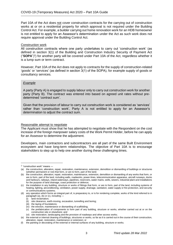Part 10A of the Act does not cover construction contracts for the carrying out of construction works at or on a residential property for which approval is not required under the Building Control Act. For example, a builder carrying out home renovation work for an HDB homeowner is not entitled to apply for an Assessor's determination under the Act as such work does not require approval under the Building Control Act.

#### Construction work

All construction contracts where one party undertakes to carry out 'construction work' (as defined in section 3(1) of the Building and Construction Industry Security of Payment Act ("**SOPA**")<sup>1</sup> ) for another party will be covered under Part 10A of the Act, regardless whether it is a lump sum or term contract.

However, Part 10A of the Act does not apply to contracts for the supply of construction-related 'goods' or 'services' (as defined in section 3(1) of the SOPA), for example supply of goods or consultancy services.

#### *Example*

A party (Party A) is engaged to supply labour only to carry out construction work for another party (Party B). The contract was entered into based on agreed unit rates without predetermined 'contract sum'.

Given that the provision of labour to carry out construction work is considered as 'services' rather than 'construction work', Party A is not entitled to apply for an Assessor's determination to adjust the contract sum.

#### Reasonable attempt to negotiate

The Applicant must show that he has attempted to negotiate with the Respondent on the cost increase of the foreign manpower salary costs of the Work Permit Holder, before he can apply for an Assessor to determine the adjustment.

Developers, main contractors and subcontractors are all part of the same Built Environment ecosystem and have long-term relationships. The objective of Part 10A is to encourage stakeholders to step up to help one another during these challenging times.

<sup>1</sup> "construction work" means —

<sup>(</sup>a) the construction, alteration, repair, restoration, maintenance, extension, demolition or dismantling of buildings or structures (whether permanent or not) that form, or are to form, part of the land;

<sup>(</sup>b) the construction, alteration, repair, restoration, maintenance, extension, demolition or dismantling of any works that form, or are to form, part of the land, including walls, roadworks, power-lines, telecommunication apparatus, aircraft runways, docks and harbours, railways, inland waterways, pipelines, reservoirs, water mains, wells, sewers, industrial plant and installations for the purpose of land drainage, coast protection or defence;

<sup>(</sup>c) the installation in any building, structure or works of fittings that form, or are to form, part of the land, including systems of heating, lighting, airconditioning, ventilation, power supply, drainage, sanitation, water supply or fire protection, and security or communications systems;

<sup>(</sup>d) any operation which forms an integral part of, is preparatory to, or is for rendering complete, works of the kind referred to in paragraph (a), (b) or (c), including -

<sup>(</sup>i) land reclamation;

<sup>(</sup>ii) site clearance, earth-moving, excavation, tunnelling and boring;

<sup>(</sup>iii) the laying of foundations;

<sup>(</sup>iv) the erection, maintenance or dismantling of scaffolding;

<sup>(</sup>v) the prefabrication of components to form part of any building, structure or works, whether carried out at or on the construction site or elsewhere; and

<sup>(</sup>vi) site restoration, landscaping and the provision of roadways and other access works;

<sup>(</sup>e) the external or internal cleaning of buildings, structures or works, so far as it is carried out in the course of their construction, alteration, repair, restoration, maintenance or extension; or

<sup>(</sup>f) the painting or decorating of the external or internal surfaces of any building, structure or works.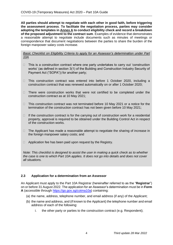**All parties should attempt to negotiate with each other in good faith, before triggering the assessment process**. **To facilitate the negotiation process, parties may consider adopting the templates in Annex A to conduct eligibility check and record a breakdown of the proposed adjustment to the contract sum**. Examples of evidence that demonstrates a reasonable attempt to negotiate include documents such as minutes of meetings or correspondence that document negotiations between the parties to share the burden of the foreign manpower salary costs increase.

*Basic Checklist on Eligibility Criteria to apply for an Assessor's determination under Part 10A*

- $\Box$  This is a construction contract where one party undertakes to carry out 'construction works' (as defined in section 3(1) of the Building and Construction Industry Security of Payment Act ("SOPA")) for another party;
- □ This construction contract was entered into before 1 October 2020, including a construction contract that was renewed automatically on or after 1 October 2020;
- $\Box$  There were construction works that were not certified to be completed under the construction contract as at 10 May 2021;
- $\Box$  This construction contract was not terminated before 10 May 2021 or a notice for the termination of the construction contract has not been given before 10 May 2021;
- $\Box$  If the construction contract is for the carrying out of construction work for a residential property, approval is required to be obtained under the Building Control Act in respect of the construction works.
- $\Box$  The Applicant has made a reasonable attempt to negotiate the sharing of increase in the foreign manpower salary costs; and
- $\Box$  Application fee has been paid upon request by the Registry.

*Note: This checklist is designed to assist the user in making a quick check as to whether the case is one to which Part 10A applies. It does not go into details and does not cover all situations.*

# <span id="page-6-0"></span>**2.3 Application for a determination from an Assessor**

An Applicant must apply to the Part 10A Registrar (hereinafter referred to as the "**Registrar**") on or before 31 August 2022. The application for an Assessor's determination must be in **Form A** (accessible through [https://go.gov.sg/cotma10a\)](https://go.gov.sg/cotma10a) containing:

- (a) the name, address, telephone number, and email address (if any) of the Applicant;
- (b) the name and address, and (if known to the Applicant) the telephone number and email address of each of the following:
	- i. the other party or parties to the construction contract (e.g. Respondent);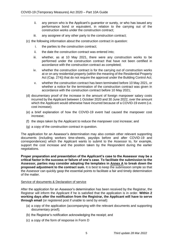- ii. any person who is the Applicant's guarantor or surety, or who has issued any performance bond or equivalent, in relation to the carrying out of the construction works under the construction contract;
- iii. any assignee of any other party to the construction contract:
- (c) the following information about the construction contract in question:
	- i. the parties to the construction contract;
	- ii. the date the construction contract was entered into;
	- iii. whether, as at 10 May 2021, there were any construction works to be performed under the construction contract that have not been certified in accordance with the construction contract as completed;
	- iv. whether the construction contract is for the carrying out of construction works at or on any residential property (within the meaning of the Residential Property Act (Cap. 274)) that do not require the approval under the Building Control Act;
	- v. whether the construction contract has been terminated before 10 May 2021, or whether a notice for the termination of the construction contract was given in accordance with the construction contract before 10 May 2021;
- (d) documentary proof of the increase in the amount of foreign manpower salary costs incurred by the Applicant between 1 October 2020 and 30 June 2022, over the amount which the Applicant would otherwise have incurred because of a COVID-19 event (i.e. cost increase);
- (e) a brief explanation of how the COVID-19 event had caused the manpower cost increase;
- (f) the steps taken by the Applicant to reduce the manpower cost increase; and
- (g) a copy of the construction contract in question.

The application for an Assessor's determination may also contain other relevant supporting documents (including workers time-sheets, payslips before and after COVID-19 and correspondences) which the Applicant wants to submit to the Assessor to, for example, support the cost increase and the position taken by the Respondent during the earlier negotiations.

**Proper preparation and presentation of the Applicant's case to the Assessor may be a critical factor in the success or failure of one's case**. **To facilitate the submission to the Assessor, parties may consider adopting the templates in Annex A to break down the proposed adjustment to the contract sum.** It is best to keep the submission simple so that the Assessor can quickly gasp the essential points to facilitate a fair and timely determination of the matter.

#### Service of documents & Declaration of service

After the application for an Assessor's determination has been received by the Registrar, the Registrar will inform the Applicant if he is satisfied that the application is in order. **Within 2 working days after the notification from the Registrar, the Applicant will have to serve through email** (or registered post if unable to send by email):

- (a) a copy of the application (accompanying with the relevant documents and supporting documentary proof);
- (b) the Registrar's notification acknowledging the receipt; and
- (c) a copy of the form of response in Form D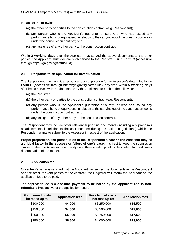to each of the following:

- (a) the other party or parties to the construction contract (e.g. Respondent);
- (b) any person who is the Applicant's guarantor or surety, or who has issued any performance bond or equivalent, in relation to the carrying out of the construction works under the construction contract; and
- (c) any assignee of any other party to the construction contract.

Within **2 working days** after the Applicant has served the above documents to the other parties, the Applicant must declare such service to the Registrar using **Form C** (accessible through https://go.gov.sg/cotma10a).

#### <span id="page-8-0"></span>**2.4 Response to an application for determination**

The Respondent may submit a response to an application for an Assessor's determination in **Form D** (accessible through https://go.gov.sg/cotma10a), any time within **5 working days** after being served with the documents by the Applicant, to each of the following:

- (a) the Registrar;
- (b) the other party or parties to the construction contract (e.g. Respondent);
- (c) any person who is the Applicant's guarantor or surety, or who has issued any performance bond or equivalent, in relation to the carrying out of the construction works under the construction contract; and
- (d) any assignee of any other party to the construction contract.

The Respondent may include other relevant supporting documents (including any proposals or adjustments in relation to the cost increase during the earlier negotiations) which the Respondent wants to submit to the Assessor in respect of the application.

**Proper preparation and presentation of the Respondent's case to the Assessor may be a critical factor in the success or failure of one's case**. It is best to keep the submission simple so that the Assessor can quickly gasp the essential points to facilitate a fair and timely determination of the matter.

#### <span id="page-8-1"></span>**2.5 Application fee**

Once the Registrar is satisfied that the Applicant has served the documents to the Respondent and the other relevant parties to the contract, the Registrar will inform the Applicant on the application fees to be paid.

The application fee is a **one-time payment to be borne by the Applicant and is nonrefundable** irrespective of the application result.

| For claimed costs<br>increase up to: | <b>Application fees</b> | <b>For claimed costs</b><br>increase up to: | <b>Application fees</b> |
|--------------------------------------|-------------------------|---------------------------------------------|-------------------------|
| \$100,000                            | \$4,000                 | \$3,250,000                                 | \$16,500                |
| \$150,000                            | \$4,500                 | \$3,500,000                                 | \$17,000                |
| \$200,000                            | \$5,000                 | \$3,750,000                                 | \$17,500                |
| \$250,000                            | \$5,500                 | \$4,000,000                                 | \$18,000                |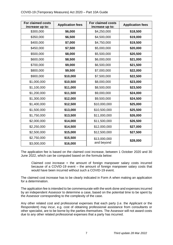| For claimed costs<br>increase up to: | <b>Application fees</b> | For claimed costs<br>increase up to: | <b>Application fees</b> |
|--------------------------------------|-------------------------|--------------------------------------|-------------------------|
| \$300,000                            | \$6,000                 | \$4,250,000                          | \$18,500                |
| \$350,000                            | \$6,500                 | \$4,500,000                          | \$19,000                |
| \$400,000                            | \$7,000                 | \$4,750,000                          | \$19,500                |
| \$450,000                            | \$7,500                 | \$5,000,000                          | \$20,000                |
| \$500,000                            | \$8,000                 | \$5,500,000                          | \$20,500                |
| \$600,000                            | \$8,500                 | \$6,000,000                          | \$21,000                |
| \$700,000                            | \$9,000                 | \$6,500,000                          | \$21,500                |
| \$800,000                            | \$9,500                 | \$7,000,000                          | \$22,000                |
| \$900,000                            | \$10,000                | \$7,500,000                          | \$22,500                |
| \$1,000,000                          | \$10,500                | \$8,000,000                          | \$23,000                |
| \$1,100,000                          | \$11,000                | \$8,500,000                          | \$23,500                |
| \$1,200,000                          | \$11,500                | \$9,000,000                          | \$24,000                |
| \$1,300,000                          | \$12,000                | \$9,500,000                          | \$24,500                |
| \$1,400,000                          | \$12,500                | \$10,000,000                         | \$25,000                |
| \$1,500,000                          | \$13,000                | \$10,500,000                         | \$25,500                |
| \$1,750,000                          | \$13,500                | \$11,000,000                         | \$26,000                |
| \$2,000,000                          | \$14,000                | \$11,500,000                         | \$26,500                |
| \$2,250,000                          | \$14,500                | \$12,000,000                         | \$27,000                |
| \$2,500,000                          | \$15,000                | \$12,500,000                         | \$27,500                |
| \$2,750,000                          | \$15,500                | \$13,000,000                         |                         |
| \$3,000,000                          | \$16,000                | and beyond                           | \$28,000                |

The application fee is based on the claimed cost increase, between 1 October 2020 and 30 June 2022, which can be computed based on the formula below:

Claimed cost increase = the amount of foreign manpower salary costs incurred because of a COVID-19 event – the amount of foreign manpower salary costs that would have been incurred without such a COVID-19 event.

The claimed cost increase has to be clearly indicated in Form A when making an application for a determination.

The application fee is intended to be commensurate with the work done and expenses incurred by an independent Assessor to determine a case, based on the potential time to be spent by the Assessor corresponding to the complexity of the case.

Any other related cost and professional expenses that each party (i.e. the Applicant or the Respondent) may incur, e.g. cost of obtaining professional assistance from consultants or other specialist, are to be borne by the parties themselves. The Assessor will not award costs due to any other related professional expenses that a party has incurred.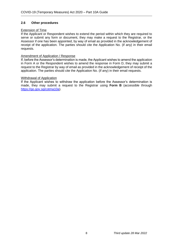# <span id="page-10-0"></span>**2.6 Other procedures**

#### Extension of Time

If the Applicant or Respondent wishes to extend the period within which they are required to serve or submit any form or document, they may make a request to the Registrar, or the Assessor if one has been appointed, by way of email as provided in the acknowledgement of receipt of the application. The parties should cite the Application No. (if any) in their email requests.

### Amendment of Application / Response

If, before the Assessor's determination is made, the Applicant wishes to amend the application in Form A or the Respondent wishes to amend the response in Form D, they may submit a request to the Registrar by way of email as provided in the acknowledgement of receipt of the application. The parties should cite the Application No. (if any) in their email requests.

#### Withdrawal of Application

If the Applicant wishes to withdraw the application before the Assessor's determination is made, they may submit a request to the Registrar using **Form B** (accessible through [https://go.gov.sg/cotma10a\)](https://go.gov.sg/cotma10a).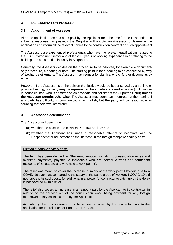# <span id="page-11-0"></span>**3. DETERMINATION PROCESS**

#### <span id="page-11-1"></span>**3.1 Appointment of Assessor**

After the application fee has been paid by the Applicant (and the time for the Respondent to submit a response has passed), the Registrar will appoint an Assessor to determine the application and inform all the relevant parties to the construction contract on such appointment.

The Assessors are experienced professionals who have the relevant qualifications related to the Built Environment sector and at least 10 years of working experience in or relating to the building and construction industry in Singapore.

Generally, the Assessor decides on the procedure to be adopted, for example a documentonly procedure, a hearing or both. The starting point is for a hearing to be conducted by way of **exchange of emails**. The Assessor may request for clarifications or further documents by email.

However, if the Assessor is of the opinion that justice would be better served by an online or physical hearing, **no party may be represented by an advocate and solicitor** (including an in-house counsel who is admitted as an advocate and solicitor of the Supreme Court) **unless the Assessor permits otherwise**. The Assessor may permit an interpreter at the hearing if any party has difficulty in communicating in English, but the party will be responsible for sourcing for their own interpreter.

#### <span id="page-11-2"></span>**3.2 Assessor's determination**

The Assessor will determine:

- (a) whether the case is one to which Part 10A applies; and
- (b) whether the Applicant has made a reasonable attempt to negotiate with the Respondent for adjustment on the increase in the foreign manpower salary costs.

#### *Foreign manpower salary costs*

The term has been defined as "the remuneration (including bonuses, allowances and overtime payments) payable to individuals who are neither citizens nor permanent residents of Singapore and who hold a work permit".

The relief was meant to cover the increase in salary of the work permit holders due to a COVID-19 event, as compared to the salary of the same group of workers if COVID-19 did not happen. As such, costs for additional manpower for contractor to catch up on the delay is not covered by this relief.

The relief also covers an increase in an amount paid by the Applicant to its contractor, in relation to the carrying out of the construction work, being payment for any foreign manpower salary costs incurred by the Applicant.

Accordingly, the cost increase must have been incurred by the contractor prior to the application for the relief under Part 10A of the Act.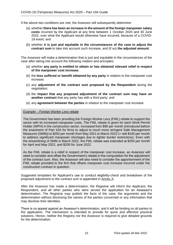If the above two conditions are met, the Assessor will subsequently determine:

- (a) whether **there has been an increase in the amount of the foreign manpower salary costs** incurred by the Applicant at any time between 1 October 2020 and 30 June 2022, over what the Applicant would otherwise have incurred, because of a COVID-19 event; and
- (b) whether **it is just and equitable in the circumstances of the case to adjust the contract sum** to take into account such increase, and (if so) **the adjusted amount**.

The Assessor will make a determination that is just and equitable in the circumstances of the case after taking into account the following matters and principles:

- (a) whether **any party is entitled to obtain or has obtained relevant relief in respect of the manpower cost increase**;
- (b) the **loss suffered or benefit obtained by any party** in relation to the manpower cost increase;
- (c) any **adjustment of the contract sum proposed by the Respondent** during the negotiation;
- (d) the **impact that any proposed adjustment of the contract sum may have on another contract** that any party has with a third party; and
- (e) any **agreement between the parties** in relation to the manpower cost increase.

#### *Example – Foreign Worker Levy rebate*

The Government has been providing the Foreign Worker Levy (FWL) rebate to support the sector with its increased manpower costs. The FWL rebate is given for each Work Permit Holder (WPH) in the construction sector, increased from \$90 per month (introduced before the enactment of Part 10A for firms to adjust to much more stringent Safe Management Measures (SMM)) to \$250 per month from May 2021 to March 2022 (= nett \$160 per month to address significant manpower shortages due to tighter border restrictions). Even with the streamlining of SMM in March 2022, the FWL rebate was extended at \$250 per month for April and May 2022, and \$200 for June 2022.

As the FWL rebate is a relief in respect of the manpower cost increase, an Assessor will need to consider and offset the Government's rebate in the computation for the adjustment of the contract sum. Also, the Assessor will also need to consider the apportionment of the FWL rebate provided to the firm that offsets manpower cost increase incurred under the construction contract in question.

Suggested templates for Applicant's use to conduct eligibility-check and breakdown of the proposed adjustment to the contract sum is appended in Annex A.

After the Assessor has made a determination, the Registrar will inform the Applicant, the Respondent, and all other parties who were served the application for an Assessor's determination. The Registrar may publish the facts of the case, the arguments and the determination without disclosing the names of the parties concerned or any information that may disclose their identities.

There is no appeal against an Assessor's determination, and it will be binding on all parties to the application. The mechanism is intended to provide for quick and effective practical solutions. Hence, neither the Registry nor the Assessor is required to give detailed grounds for the determination.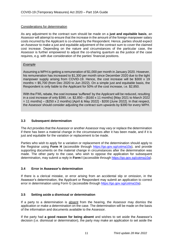# Considerations for determination

As any adjustment to the contract sum should be made on a **just and equitable basis**, an Assessor will attempt to ensure that the increase in the amount of the foreign manpower salary costs incurred by the Applicant is co-shared by the Respondent. Hence, parties should expect an Assessor to make a just and equitable adjustment of the contract sum to cover the claimed cost increase. Depending on the nature and circumstances of the particular case, the Assessor is further empowered to adjust the co-sharing quantum as the justice of the case requires, e.g. with due consideration of the parties' financial positions.

### *Example*

Assuming a WPH is getting a remuneration of \$1,000 per month in January 2020. However, his remuneration has increased to \$1,300 per month since December 2020 due to the tight manpower supply arising from COVID-19. Hence, the cost increase will be \$300 x 19 months = \$5,700 (from Dec 2020 to Jun 2022). On a simple just and equitable basis, the Respondent is only liable to the Applicant for 50% of the cost increase, i.e. \$2,850.

With the FWL rebate, the cost increase 'suffered' by the Applicant will be reduced, resulting in a cost increase of only \$390, i.e. \$2,850 – (\$160 x 11 months) [May 2021 to March 2022 = 11 months] – (\$250 x 2 months) [April & May 2022] - \$200 [June 2022]. In that respect, the Assessor should consider adjusting the contract sum upwards by \$390 for every WPH.

### <span id="page-13-0"></span>**3.3 Subsequent determination**

The Act provides that the Assessor or another Assessor may vary or replace the determination if there has been a material change in the circumstances after it has been made, and if it is just and equitable for the variation or replacement to be made.

Parties who wish to apply for a variation or replacement of the determination should apply to the Registrar using **Form H** (accessible through [https://go.gov.sg/cotma10a\)](https://go.gov.sg/cotma10a), and provide supporting documents on the material change in circumstances after the determination was made. The other party to the case, who wish to oppose the application for subsequent determination, may submit a reply in **Form I** (accessible through [https://go.gov.sg/cotma10a\)](https://go.gov.sg/cotma10a).

# <span id="page-13-1"></span>**3.4 Error in Assessor's determination**

If there is a clerical mistake, or error arising from an accidental slip or omission, in the Assessor's determination, the Applicant or Respondent may submit an application to correct error in determination using Form G (accessible through [https://go.gov.sg/cotma10a\)](https://go.gov.sg/cotma10a).

# <span id="page-13-2"></span>**3.5 Setting aside a dismissal or determination**

If a party to a determination is absent from the hearing, the Assessor may dismiss the application or make a determination on the case. The determination will be made on the basis of the information and documents available to the Assessor.

If the party had **a good reason for being absent** and wishes to set aside the Assessor's decision (i.e. dismissal or determination), the party may make an application to set aside the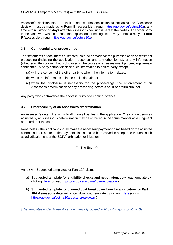Assessor's decision made in their absence. The application to set aside the Assessor's decision must be made using **Form E** (accessible through [https://go.gov.sg/cotma10a\)](https://go.gov.sg/cotma10a), any time within **5 working days** after the Assessor's decision is sent to the parties. The other party to the case, who wish to oppose the application for setting aside, may submit a reply in **Form F** (accessible through [https://go.gov.sg/cotma10a\)](https://go.gov.sg/cotma10a).

# <span id="page-14-0"></span>**3.6 Confidentiality of proceedings**

The statements or documents submitted, created or made for the purposes of an assessment proceeding (including the application, response, and any other forms), or any information (whether written or oral) that is disclosed in the course of an assessment proceedings remain confidential. A party cannot disclose such information to a third party except:

- (a) with the consent of the other party to whom the information relates;
- (b) when the information is in the public domain; or
- (c) when the disclosure is necessary for the proceedings, the enforcement of an Assessor's determination or any proceeding before a court or arbitral tribunal.

Any party who contravenes the above is guilty of a criminal offence.

# <span id="page-14-1"></span>**3.7 Enforceability of an Assessor's determination**

An Assessor's determination is binding on all parties to the application. The contract sum as adjusted by an Assessor's determination may be enforced in the same manner as a judgment or an order of the court.

Nonetheless, the Applicant should make the necessary payment claims based on the adjusted contract sum. Dispute on the payment claims should be resolved in a separate tribunal, such as adjudication under the SOPA, arbitration or litigation.

\*\*\*\*\*\* The End \*\*\*\*\*

Annex A – Suggested templates for Part 10A claims:

- a) **Suggested template for eligibility checks and negotiation**: download template by clicking [Here](https://www1.bca.gov.sg/docs/default-source/bca-restart/template-for-part-10a-(annex-a).xlsx?sfvrsn=2968af67_8) (or visit<https://go.gov.sg/cotma10a-negotiation> )
- b) **Suggested template for claimed cost breakdown form for application for Part 10A Assessor's determination**, download template by clicking [Here](https://www1.bca.gov.sg/docs/default-source/bca-restart/applicant-claimed-costs-breakdown-form.xlsx?sfvrsn=75f64e5f_2) (or visit <https://go.gov.sg/cotma10a-costs-breakdown> )

*(The templates under Annex A can be manually located at https://go.gov.sg/cotma10a)*